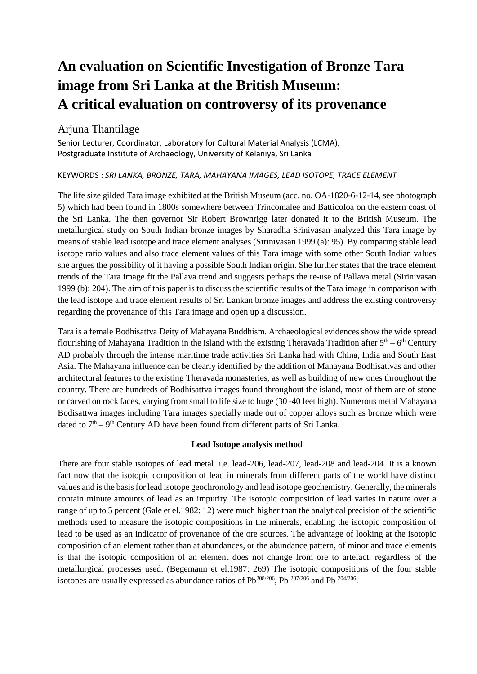# **An evaluation on Scientific Investigation of Bronze Tara image from Sri Lanka at the British Museum: A critical evaluation on controversy of its provenance**

# Arjuna Thantilage

Senior Lecturer, Coordinator, Laboratory for Cultural Material Analysis (LCMA), Postgraduate Institute of Archaeology, University of Kelaniya, Sri Lanka

#### KEYWORDS : *SRI LANKA, BRONZE, TARA, MAHAYANA IMAGES, LEAD ISOTOPE, TRACE ELEMENT*

The life size gilded Tara image exhibited at the British Museum (acc. no. OA-1820-6-12-14, see photograph 5) which had been found in 1800s somewhere between Trincomalee and Batticoloa on the eastern coast of the Sri Lanka. The then governor Sir Robert Brownrigg later donated it to the British Museum. The metallurgical study on South Indian bronze images by Sharadha Srinivasan analyzed this Tara image by means of stable lead isotope and trace element analyses (Sirinivasan 1999 (a): 95). By comparing stable lead isotope ratio values and also trace element values of this Tara image with some other South Indian values she argues the possibility of it having a possible South Indian origin. She further states that the trace element trends of the Tara image fit the Pallava trend and suggests perhaps the re-use of Pallava metal (Sirinivasan 1999 (b): 204). The aim of this paper is to discuss the scientific results of the Tara image in comparison with the lead isotope and trace element results of Sri Lankan bronze images and address the existing controversy regarding the provenance of this Tara image and open up a discussion.

Tara is a female Bodhisattva Deity of Mahayana Buddhism. Archaeological evidences show the wide spread flourishing of Mahayana Tradition in the island with the existing Theravada Tradition after  $5<sup>th</sup> - 6<sup>th</sup>$  Century AD probably through the intense maritime trade activities Sri Lanka had with China, India and South East Asia. The Mahayana influence can be clearly identified by the addition of Mahayana Bodhisattvas and other architectural features to the existing Theravada monasteries, as well as building of new ones throughout the country. There are hundreds of Bodhisattva images found throughout the island, most of them are of stone or carved on rock faces, varying from small to life size to huge (30 -40 feet high). Numerous metal Mahayana Bodisattwa images including Tara images specially made out of copper alloys such as bronze which were dated to  $7<sup>th</sup> - 9<sup>th</sup>$  Century AD have been found from different parts of Sri Lanka.

## **Lead Isotope analysis method**

There are four stable isotopes of lead metal. i.e. lead-206, lead-207, lead-208 and lead-204. It is a known fact now that the isotopic composition of lead in minerals from different parts of the world have distinct values and is the basis for lead isotope geochronology and lead isotope geochemistry. Generally, the minerals contain minute amounts of lead as an impurity. The isotopic composition of lead varies in nature over a range of up to 5 percent (Gale et el.1982: 12) were much higher than the analytical precision of the scientific methods used to measure the isotopic compositions in the minerals, enabling the isotopic composition of lead to be used as an indicator of provenance of the ore sources. The advantage of looking at the isotopic composition of an element rather than at abundances, or the abundance pattern, of minor and trace elements is that the isotopic composition of an element does not change from ore to artefact, regardless of the metallurgical processes used. (Begemann et el.1987: 269) The isotopic compositions of the four stable isotopes are usually expressed as abundance ratios of  $Pb^{208/206}$ , Pb  $^{207/206}$  and Pb  $^{204/206}$ .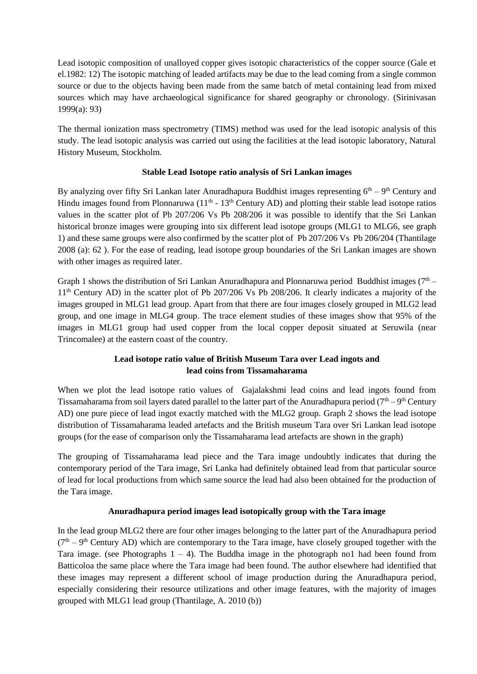Lead isotopic composition of unalloyed copper gives isotopic characteristics of the copper source (Gale et el.1982: 12) The isotopic matching of leaded artifacts may be due to the lead coming from a single common source or due to the objects having been made from the same batch of metal containing lead from mixed sources which may have archaeological significance for shared geography or chronology. (Sirinivasan 1999(a): 93)

The thermal ionization mass spectrometry (TIMS) method was used for the lead isotopic analysis of this study. The lead isotopic analysis was carried out using the facilities at the lead isotopic laboratory, Natural History Museum, Stockholm.

## **Stable Lead Isotope ratio analysis of Sri Lankan images**

By analyzing over fifty Sri Lankan later Anuradhapura Buddhist images representing  $6<sup>th</sup> - 9<sup>th</sup>$  Century and Hindu images found from Plonnaruwa  $(11<sup>th</sup> - 13<sup>th</sup>$  Century AD) and plotting their stable lead isotope ratios values in the scatter plot of Pb 207/206 Vs Pb 208/206 it was possible to identify that the Sri Lankan historical bronze images were grouping into six different lead isotope groups (MLG1 to MLG6, see graph 1) and these same groups were also confirmed by the scatter plot of Pb 207/206 Vs Pb 206/204 (Thantilage 2008 (a): 62 ). For the ease of reading, lead isotope group boundaries of the Sri Lankan images are shown with other images as required later.

Graph 1 shows the distribution of Sri Lankan Anuradhapura and Plonnaruwa period Buddhist images  $(7<sup>th</sup> -$ 11th Century AD) in the scatter plot of Pb 207/206 Vs Pb 208/206. It clearly indicates a majority of the images grouped in MLG1 lead group. Apart from that there are four images closely grouped in MLG2 lead group, and one image in MLG4 group. The trace element studies of these images show that 95% of the images in MLG1 group had used copper from the local copper deposit situated at Seruwila (near Trincomalee) at the eastern coast of the country.

## **Lead isotope ratio value of British Museum Tara over Lead ingots and lead coins from Tissamaharama**

When we plot the lead isotope ratio values of Gajalakshmi lead coins and lead ingots found from Tissamaharama from soil layers dated parallel to the latter part of the Anuradhapura period ( $7<sup>th</sup> - 9<sup>th</sup>$  Century AD) one pure piece of lead ingot exactly matched with the MLG2 group. Graph 2 shows the lead isotope distribution of Tissamaharama leaded artefacts and the British museum Tara over Sri Lankan lead isotope groups (for the ease of comparison only the Tissamaharama lead artefacts are shown in the graph)

The grouping of Tissamaharama lead piece and the Tara image undoubtly indicates that during the contemporary period of the Tara image, Sri Lanka had definitely obtained lead from that particular source of lead for local productions from which same source the lead had also been obtained for the production of the Tara image.

#### **Anuradhapura period images lead isotopically group with the Tara image**

In the lead group MLG2 there are four other images belonging to the latter part of the Anuradhapura period  $(7<sup>th</sup> - 9<sup>th</sup>$  Century AD) which are contemporary to the Tara image, have closely grouped together with the Tara image. (see Photographs  $1 - 4$ ). The Buddha image in the photograph no1 had been found from Batticoloa the same place where the Tara image had been found. The author elsewhere had identified that these images may represent a different school of image production during the Anuradhapura period, especially considering their resource utilizations and other image features, with the majority of images grouped with MLG1 lead group (Thantilage, A. 2010 (b))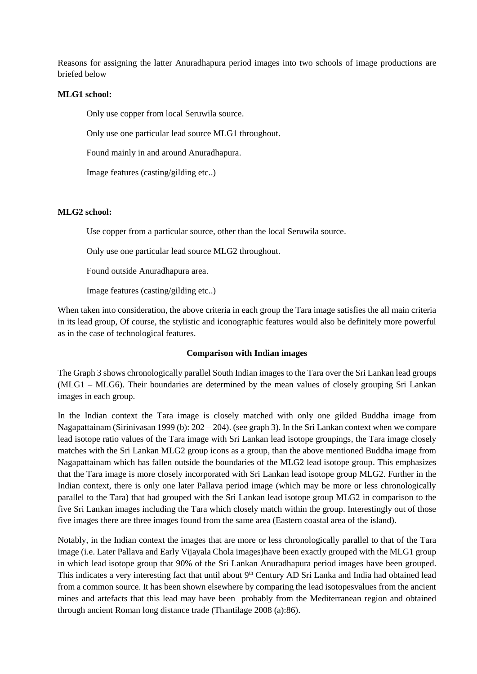Reasons for assigning the latter Anuradhapura period images into two schools of image productions are briefed below

#### **MLG1 school:**

Only use copper from local Seruwila source.

Only use one particular lead source MLG1 throughout.

Found mainly in and around Anuradhapura.

Image features (casting/gilding etc..)

#### **MLG2 school:**

Use copper from a particular source, other than the local Seruwila source.

Only use one particular lead source MLG2 throughout.

Found outside Anuradhapura area.

Image features (casting/gilding etc..)

When taken into consideration, the above criteria in each group the Tara image satisfies the all main criteria in its lead group, Of course, the stylistic and iconographic features would also be definitely more powerful as in the case of technological features.

#### **Comparison with Indian images**

The Graph 3 shows chronologically parallel South Indian images to the Tara over the Sri Lankan lead groups (MLG1 – MLG6). Their boundaries are determined by the mean values of closely grouping Sri Lankan images in each group.

In the Indian context the Tara image is closely matched with only one gilded Buddha image from Nagapattainam (Siriniyasan 1999 (b):  $202 - 204$ ). (see graph 3). In the Sri Lankan context when we compare lead isotope ratio values of the Tara image with Sri Lankan lead isotope groupings, the Tara image closely matches with the Sri Lankan MLG2 group icons as a group, than the above mentioned Buddha image from Nagapattainam which has fallen outside the boundaries of the MLG2 lead isotope group. This emphasizes that the Tara image is more closely incorporated with Sri Lankan lead isotope group MLG2. Further in the Indian context, there is only one later Pallava period image (which may be more or less chronologically parallel to the Tara) that had grouped with the Sri Lankan lead isotope group MLG2 in comparison to the five Sri Lankan images including the Tara which closely match within the group. Interestingly out of those five images there are three images found from the same area (Eastern coastal area of the island).

Notably, in the Indian context the images that are more or less chronologically parallel to that of the Tara image (i.e. Later Pallava and Early Vijayala Chola images)have been exactly grouped with the MLG1 group in which lead isotope group that 90% of the Sri Lankan Anuradhapura period images have been grouped. This indicates a very interesting fact that until about 9<sup>th</sup> Century AD Sri Lanka and India had obtained lead from a common source. It has been shown elsewhere by comparing the lead isotopesvalues from the ancient mines and artefacts that this lead may have been probably from the Mediterranean region and obtained through ancient Roman long distance trade (Thantilage 2008 (a):86).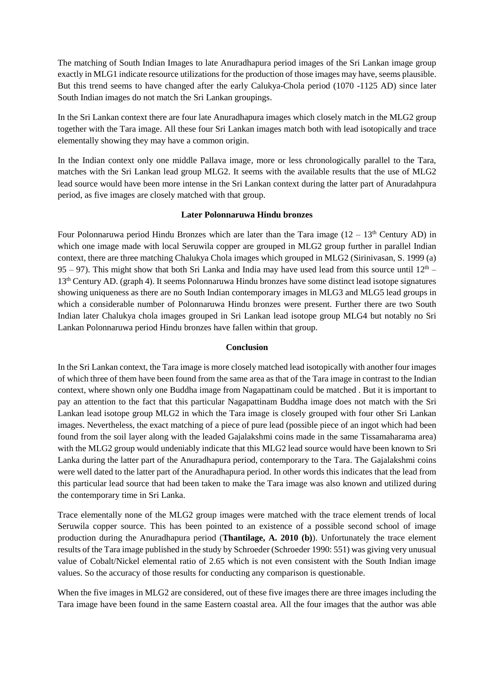The matching of South Indian Images to late Anuradhapura period images of the Sri Lankan image group exactly in MLG1 indicate resource utilizations for the production of those images may have, seems plausible. But this trend seems to have changed after the early Calukya-Chola period (1070 -1125 AD) since later South Indian images do not match the Sri Lankan groupings.

In the Sri Lankan context there are four late Anuradhapura images which closely match in the MLG2 group together with the Tara image. All these four Sri Lankan images match both with lead isotopically and trace elementally showing they may have a common origin.

In the Indian context only one middle Pallava image, more or less chronologically parallel to the Tara, matches with the Sri Lankan lead group MLG2. It seems with the available results that the use of MLG2 lead source would have been more intense in the Sri Lankan context during the latter part of Anuradahpura period, as five images are closely matched with that group.

#### **Later Polonnaruwa Hindu bronzes**

Four Polonnaruwa period Hindu Bronzes which are later than the Tara image  $(12 - 13<sup>th</sup>$  Century AD) in which one image made with local Seruwila copper are grouped in MLG2 group further in parallel Indian context, there are three matching Chalukya Chola images which grouped in MLG2 (Sirinivasan, S. 1999 (a) 95 – 97). This might show that both Sri Lanka and India may have used lead from this source until  $12<sup>th</sup>$  – 13th Century AD. (graph 4). It seems Polonnaruwa Hindu bronzes have some distinct lead isotope signatures showing uniqueness as there are no South Indian contemporary images in MLG3 and MLG5 lead groups in which a considerable number of Polonnaruwa Hindu bronzes were present. Further there are two South Indian later Chalukya chola images grouped in Sri Lankan lead isotope group MLG4 but notably no Sri Lankan Polonnaruwa period Hindu bronzes have fallen within that group.

#### **Conclusion**

In the Sri Lankan context, the Tara image is more closely matched lead isotopically with another four images of which three of them have been found from the same area as that of the Tara image in contrast to the Indian context, where shown only one Buddha image from Nagapattinam could be matched . But it is important to pay an attention to the fact that this particular Nagapattinam Buddha image does not match with the Sri Lankan lead isotope group MLG2 in which the Tara image is closely grouped with four other Sri Lankan images. Nevertheless, the exact matching of a piece of pure lead (possible piece of an ingot which had been found from the soil layer along with the leaded Gajalakshmi coins made in the same Tissamaharama area) with the MLG2 group would undeniably indicate that this MLG2 lead source would have been known to Sri Lanka during the latter part of the Anuradhapura period, contemporary to the Tara. The Gajalakshmi coins were well dated to the latter part of the Anuradhapura period. In other words this indicates that the lead from this particular lead source that had been taken to make the Tara image was also known and utilized during the contemporary time in Sri Lanka.

Trace elementally none of the MLG2 group images were matched with the trace element trends of local Seruwila copper source. This has been pointed to an existence of a possible second school of image production during the Anuradhapura period (**Thantilage, A. 2010 (b)**). Unfortunately the trace element results of the Tara image published in the study by Schroeder (Schroeder 1990: 551) was giving very unusual value of Cobalt/Nickel elemental ratio of 2.65 which is not even consistent with the South Indian image values. So the accuracy of those results for conducting any comparison is questionable.

When the five images in MLG2 are considered, out of these five images there are three images including the Tara image have been found in the same Eastern coastal area. All the four images that the author was able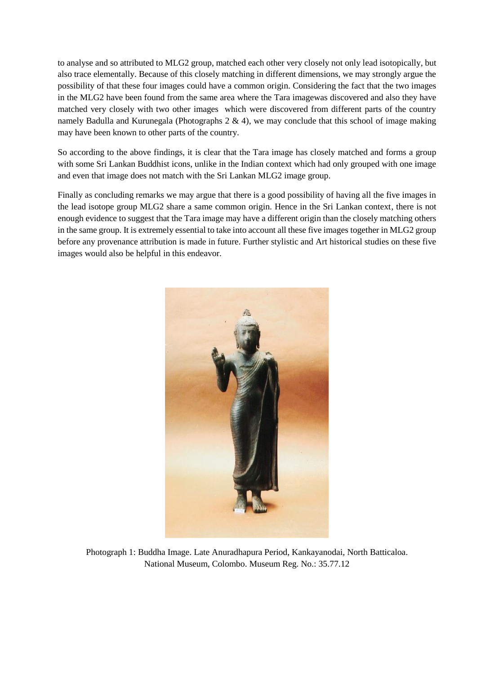to analyse and so attributed to MLG2 group, matched each other very closely not only lead isotopically, but also trace elementally. Because of this closely matching in different dimensions, we may strongly argue the possibility of that these four images could have a common origin. Considering the fact that the two images in the MLG2 have been found from the same area where the Tara imagewas discovered and also they have matched very closely with two other images which were discovered from different parts of the country namely Badulla and Kurunegala (Photographs 2 & 4), we may conclude that this school of image making may have been known to other parts of the country.

So according to the above findings, it is clear that the Tara image has closely matched and forms a group with some Sri Lankan Buddhist icons, unlike in the Indian context which had only grouped with one image and even that image does not match with the Sri Lankan MLG2 image group.

Finally as concluding remarks we may argue that there is a good possibility of having all the five images in the lead isotope group MLG2 share a same common origin. Hence in the Sri Lankan context, there is not enough evidence to suggest that the Tara image may have a different origin than the closely matching others in the same group. It is extremely essential to take into account all these five images together in MLG2 group before any provenance attribution is made in future. Further stylistic and Art historical studies on these five images would also be helpful in this endeavor.



Photograph 1: Buddha Image. Late Anuradhapura Period, Kankayanodai, North Batticaloa. National Museum, Colombo. Museum Reg. No.: 35.77.12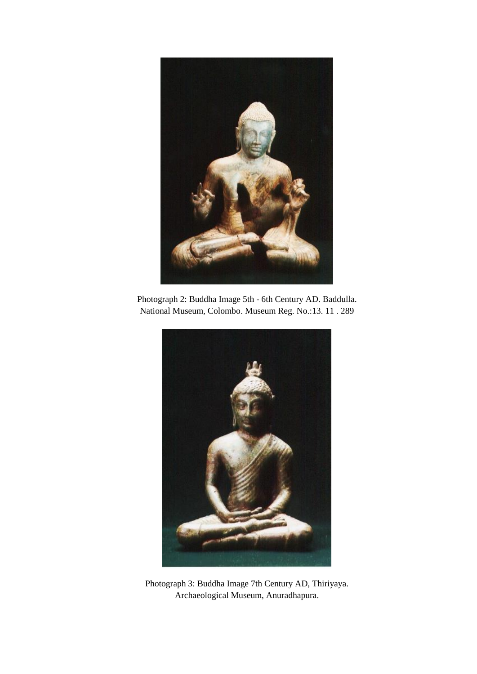

Photograph 2: Buddha Image 5th - 6th Century AD. Baddulla. National Museum, Colombo. Museum Reg. No.:13. 11 . 289



Photograph 3: Buddha Image 7th Century AD, Thiriyaya. Archaeological Museum, Anuradhapura.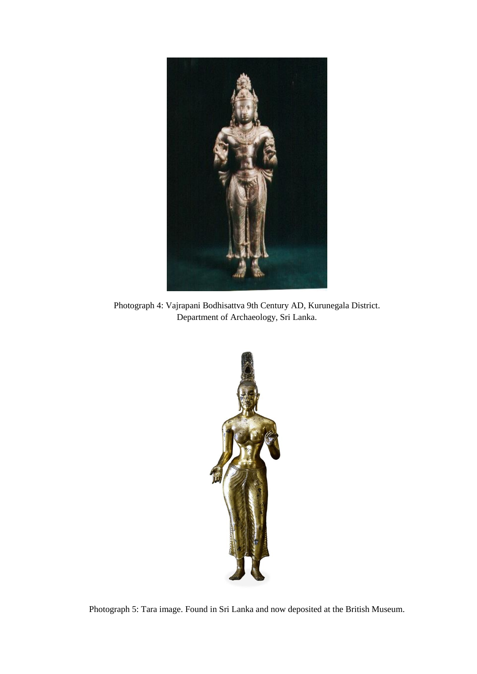

Photograph 4: Vajrapani Bodhisattva 9th Century AD, Kurunegala District. Department of Archaeology, Sri Lanka.



Photograph 5: Tara image. Found in Sri Lanka and now deposited at the British Museum.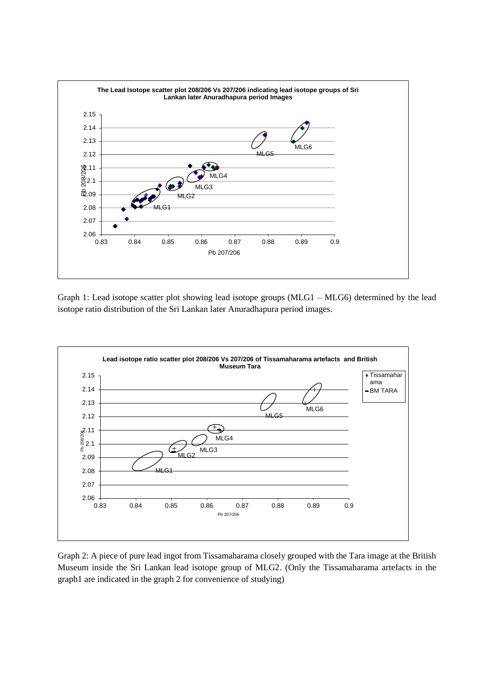

Graph 1: Lead isotope scatter plot showing lead isotope groups (MLG1 – MLG6) determined by the lead isotope ratio distribution of the Sri Lankan later Anuradhapura period images.



Graph 2: A piece of pure lead ingot from Tissamaharama closely grouped with the Tara image at the British Museum inside the Sri Lankan lead isotope group of MLG2. (Only the Tissamaharama artefacts in the graph1 are indicated in the graph 2 for convenience of studying)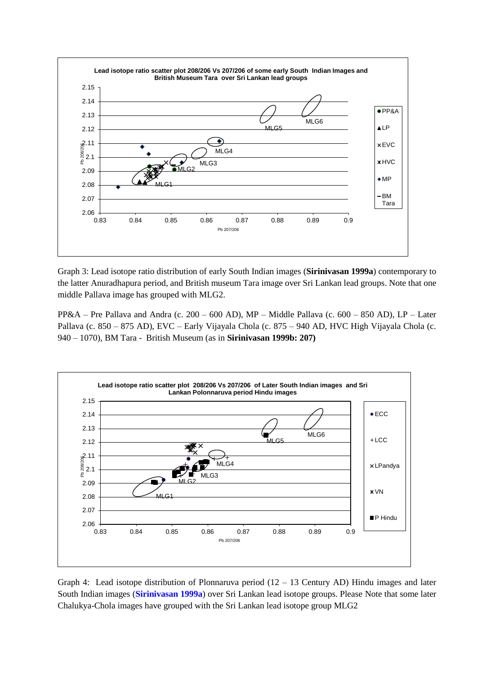

Graph 3: Lead isotope ratio distribution of early South Indian images (**Sirinivasan 1999a**) contemporary to the latter Anuradhapura period, and British museum Tara image over Sri Lankan lead groups. Note that one middle Pallava image has grouped with MLG2.

PP&A – Pre Pallava and Andra (c. 200 – 600 AD), MP – Middle Pallava (c. 600 – 850 AD), LP – Later Pallava (c. 850 – 875 AD), EVC – Early Vijayala Chola (c. 875 – 940 AD, HVC High Vijayala Chola (c. 940 – 1070), BM Tara - British Museum (as in **Sirinivasan 1999b: 207)**



Graph 4: Lead isotope distribution of Plonnaruva period  $(12 - 13$  Century AD) Hindu images and later South Indian images (**Sirinivasan 1999a**) over Sri Lankan lead isotope groups. Please Note that some later Chalukya-Chola images have grouped with the Sri Lankan lead isotope group MLG2